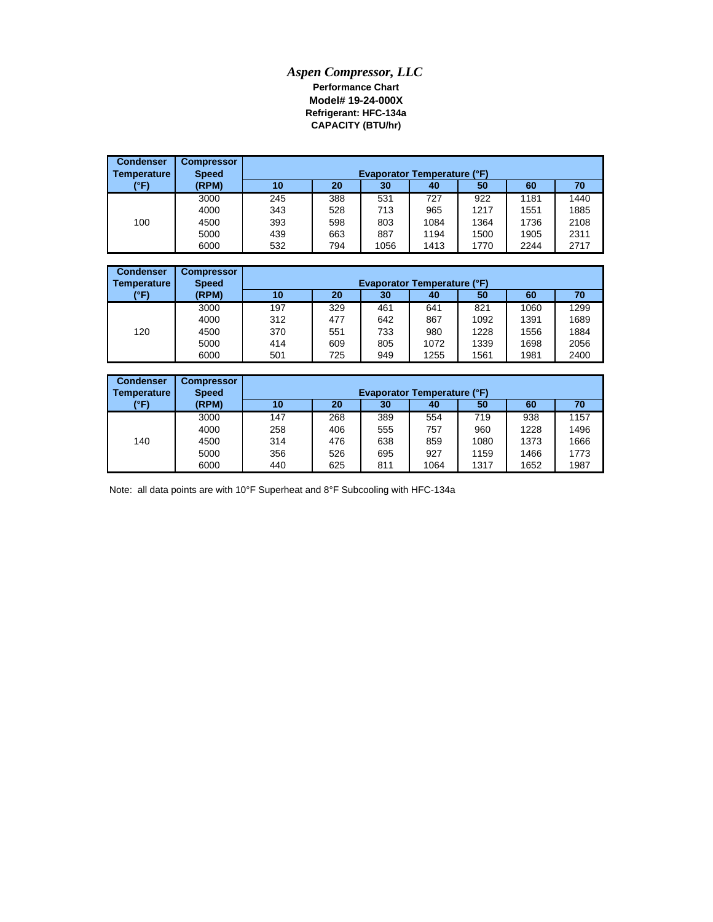## *Aspen Compressor, LLC* **Performance Chart Model# 19-24-000X Refrigerant: HFC-134a CAPACITY (BTU/hr)**

| <b>Condenser</b>   | <b>Compressor</b> |     |                                    |      |      |      |      |      |  |  |
|--------------------|-------------------|-----|------------------------------------|------|------|------|------|------|--|--|
| <b>Temperature</b> | <b>Speed</b>      |     | <b>Evaporator Temperature (°F)</b> |      |      |      |      |      |  |  |
| (°F)               | (RPM)             | 10  | 20                                 | 30   | 40   | 50   | 60   | 70   |  |  |
|                    | 3000              | 245 | 388                                | 531  | 727  | 922  | 1181 | 1440 |  |  |
|                    | 4000              | 343 | 528                                | 713  | 965  | 1217 | 1551 | 1885 |  |  |
| 100                | 4500              | 393 | 598                                | 803  | 1084 | 1364 | 1736 | 2108 |  |  |
|                    | 5000              | 439 | 663                                | 887  | 1194 | 1500 | 1905 | 2311 |  |  |
|                    | 6000              | 532 | 794                                | 1056 | 1413 | 1770 | 2244 | 2717 |  |  |

| <b>Condenser</b><br><b>Temperature</b> | <b>Compressor</b><br><b>Speed</b> | <b>Evaporator Temperature (°F)</b> |     |     |      |      |      |      |  |
|----------------------------------------|-----------------------------------|------------------------------------|-----|-----|------|------|------|------|--|
| (°F)                                   | (RPM)                             | 10                                 | 20  | 30  | 40   | 50   | 60   | 70   |  |
|                                        | 3000                              | 197                                | 329 | 461 | 641  | 821  | 1060 | 1299 |  |
|                                        | 4000                              | 312                                | 477 | 642 | 867  | 1092 | 1391 | 1689 |  |
| 120                                    | 4500                              | 370                                | 551 | 733 | 980  | 1228 | 1556 | 1884 |  |
|                                        | 5000                              | 414                                | 609 | 805 | 1072 | 1339 | 1698 | 2056 |  |
|                                        | 6000                              | 501                                | 725 | 949 | 1255 | 1561 | 1981 | 2400 |  |

| <b>Condenser</b><br>Temperature | <b>Compressor</b><br><b>Speed</b> | <b>Evaporator Temperature (°F)</b>     |     |     |      |      |      |      |  |  |
|---------------------------------|-----------------------------------|----------------------------------------|-----|-----|------|------|------|------|--|--|
| (°F)                            | (RPM)                             | 50<br>20<br>10<br>60<br>70<br>30<br>40 |     |     |      |      |      |      |  |  |
|                                 | 3000                              | 147                                    | 268 | 389 | 554  | 719  | 938  | 1157 |  |  |
|                                 | 4000                              | 258                                    | 406 | 555 | 757  | 960  | 1228 | 1496 |  |  |
| 140                             | 4500                              | 314                                    | 476 | 638 | 859  | 1080 | 1373 | 1666 |  |  |
|                                 | 5000                              | 356                                    | 526 | 695 | 927  | 1159 | 1466 | 1773 |  |  |
|                                 | 6000                              | 440                                    | 625 | 811 | 1064 | 1317 | 1652 | 1987 |  |  |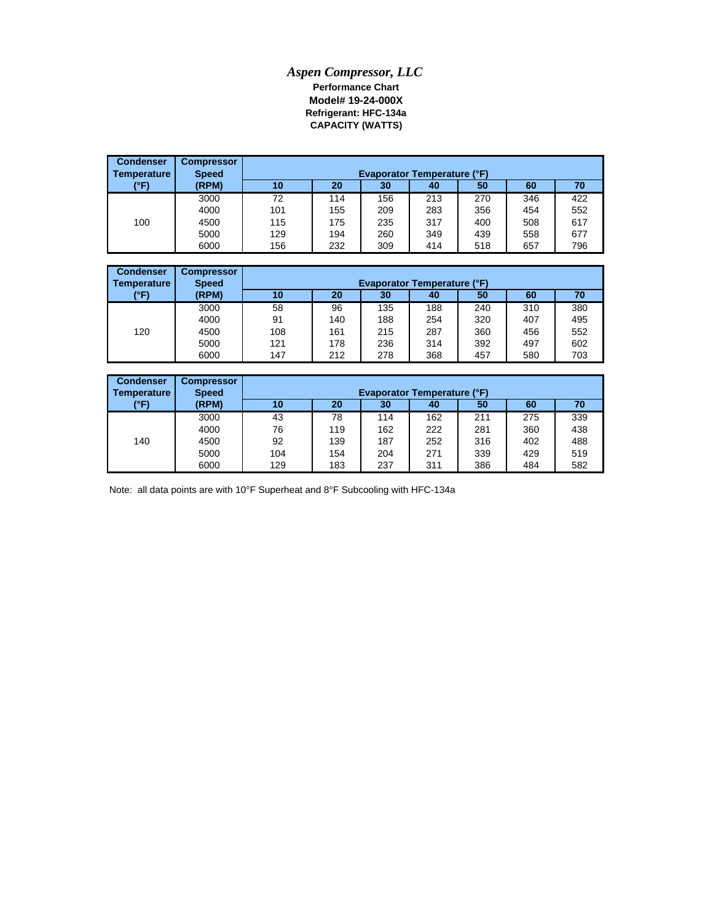## *Aspen Compressor, LLC* **Performance Chart Model# 19-24-000X CAPACITY (WATTS) Refrigerant: HFC-134a**

| <b>Condenser</b><br><b>Temperature</b> | <b>Compressor</b><br><b>Speed</b> |     | <b>Evaporator Temperature (°F)</b> |     |     |     |     |     |  |  |
|----------------------------------------|-----------------------------------|-----|------------------------------------|-----|-----|-----|-----|-----|--|--|
| (°F)                                   | (RPM)                             | 10  | 20                                 | 30  | 40  | 50  | 60  | 70  |  |  |
|                                        | 3000                              | 72  | 114                                | 156 | 213 | 270 | 346 | 422 |  |  |
|                                        | 4000                              | 101 | 155                                | 209 | 283 | 356 | 454 | 552 |  |  |
| 100                                    | 4500                              | 115 | 175                                | 235 | 317 | 400 | 508 | 617 |  |  |
|                                        | 5000                              | 129 | 194                                | 260 | 349 | 439 | 558 | 677 |  |  |
|                                        | 6000                              | 156 | 232                                | 309 | 414 | 518 | 657 | 796 |  |  |

| <b>Condenser</b><br>Temperature | <b>Compressor</b><br><b>Speed</b> |     |     |     |     |     |     |     |
|---------------------------------|-----------------------------------|-----|-----|-----|-----|-----|-----|-----|
| (°F)                            | (RPM)                             | 10  | 20  | 30  | 40  | 50  | 60  | 70  |
|                                 | 3000                              | 58  | 96  | 135 | 188 | 240 | 310 | 380 |
|                                 | 4000                              | 91  | 140 | 188 | 254 | 320 | 407 | 495 |
| 120                             | 4500                              | 108 | 161 | 215 | 287 | 360 | 456 | 552 |
|                                 | 5000                              | 121 | 178 | 236 | 314 | 392 | 497 | 602 |
|                                 | 6000                              | 147 | 212 | 278 | 368 | 457 | 580 | 703 |

| <b>Condenser</b><br>Temperature | <b>Compressor</b><br><b>Speed</b> | <b>Evaporator Temperature (°F)</b> |     |     |     |     |     |     |  |
|---------------------------------|-----------------------------------|------------------------------------|-----|-----|-----|-----|-----|-----|--|
| (°F)                            | (RPM)                             | 10                                 | 20  | 30  | 40  | 50  | 60  | 70  |  |
|                                 | 3000                              | 43                                 | 78  | 114 | 162 | 211 | 275 | 339 |  |
|                                 | 4000                              | 76                                 | 119 | 162 | 222 | 281 | 360 | 438 |  |
| 140                             | 4500                              | 92                                 | 139 | 187 | 252 | 316 | 402 | 488 |  |
|                                 | 5000                              | 104                                | 154 | 204 | 271 | 339 | 429 | 519 |  |
|                                 | 6000                              | 129                                | 183 | 237 | 311 | 386 | 484 | 582 |  |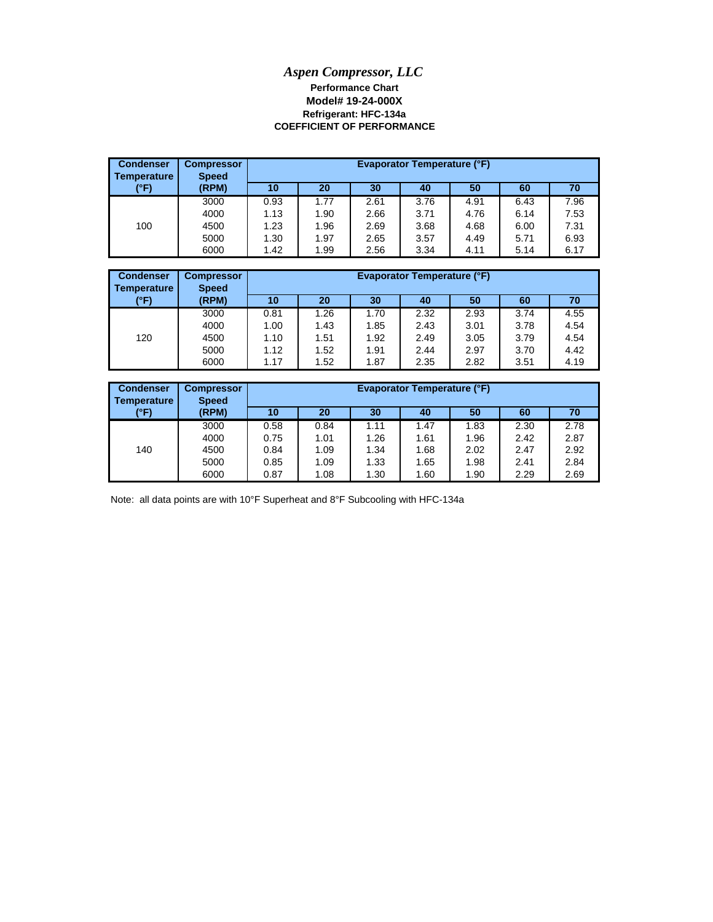## **Model# 19-24-000X** *Aspen Compressor, LLC* **Performance Chart COEFFICIENT OF PERFORMANCE Refrigerant: HFC-134a**

| <b>Condenser</b><br>Temperature | <b>Compressor</b><br><b>Speed</b> |      | <b>Evaporator Temperature (°F)</b><br>20<br>30<br>50<br>70<br>60<br>10<br>40<br>7.96<br>3.76<br>0.93<br>1.77<br>2.61<br>4.91<br>6.43<br>1.13<br>1.90<br>4.76<br>7.53<br>2.66<br>6.14<br>3.71<br>1.23<br>1.96<br>4.68<br>3.68<br>2.69<br>6.00<br>7.31 |      |      |      |      |      |
|---------------------------------|-----------------------------------|------|------------------------------------------------------------------------------------------------------------------------------------------------------------------------------------------------------------------------------------------------------|------|------|------|------|------|
| (°F)                            | (RPM)                             |      |                                                                                                                                                                                                                                                      |      |      |      |      |      |
|                                 | 3000                              |      |                                                                                                                                                                                                                                                      |      |      |      |      |      |
|                                 | 4000                              |      |                                                                                                                                                                                                                                                      |      |      |      |      |      |
| 100                             | 4500                              |      |                                                                                                                                                                                                                                                      |      |      |      |      |      |
|                                 | 5000                              | 1.30 | 1.97                                                                                                                                                                                                                                                 | 2.65 | 3.57 | 4.49 | 5.71 | 6.93 |
|                                 | 6000                              | 1.42 | 1.99                                                                                                                                                                                                                                                 | 2.56 | 3.34 | 4.11 | 5.14 | 6.17 |

| <b>Condenser</b><br>Temperature | <b>Compressor</b><br><b>Speed</b> |      |      |      | <b>Evaporator Temperature (°F)</b> |      |      |      |
|---------------------------------|-----------------------------------|------|------|------|------------------------------------|------|------|------|
| (°F)                            | (RPM)                             | 10   | 20   | 30   | 40                                 | 50   | 60   | 70   |
|                                 | 3000                              | 0.81 | 1.26 | 1.70 | 2.32                               | 2.93 | 3.74 | 4.55 |
|                                 | 4000                              | 1.00 | 1.43 | 1.85 | 2.43                               | 3.01 | 3.78 | 4.54 |
| 120                             | 4500                              | 1.10 | 1.51 | 1.92 | 2.49                               | 3.05 | 3.79 | 4.54 |
|                                 | 5000                              | 1.12 | 1.52 | 1.91 | 2.44                               | 2.97 | 3.70 | 4.42 |
|                                 | 6000                              | 1.17 | 1.52 | 1.87 | 2.35                               | 2.82 | 3.51 | 4.19 |

| <b>Condenser</b><br>Temperature | <b>Compressor</b><br><b>Speed</b> |      |      |      | <b>Evaporator Temperature (°F)</b> |      |      |      |
|---------------------------------|-----------------------------------|------|------|------|------------------------------------|------|------|------|
| (°F)                            | (RPM)                             | 10   | 20   | 30   | 40                                 | 50   | 60   | 70   |
|                                 | 3000                              | 0.58 | 0.84 | 1.11 | 1.47                               | 1.83 | 2.30 | 2.78 |
|                                 | 4000                              | 0.75 | 1.01 | 1.26 | 1.61                               | 1.96 | 2.42 | 2.87 |
| 140                             | 4500                              | 0.84 | 1.09 | 1.34 | 1.68                               | 2.02 | 2.47 | 2.92 |
|                                 | 5000                              | 0.85 | 1.09 | 1.33 | 1.65                               | 1.98 | 2.41 | 2.84 |
|                                 | 6000                              | 0.87 | 1.08 | 1.30 | 1.60                               | 1.90 | 2.29 | 2.69 |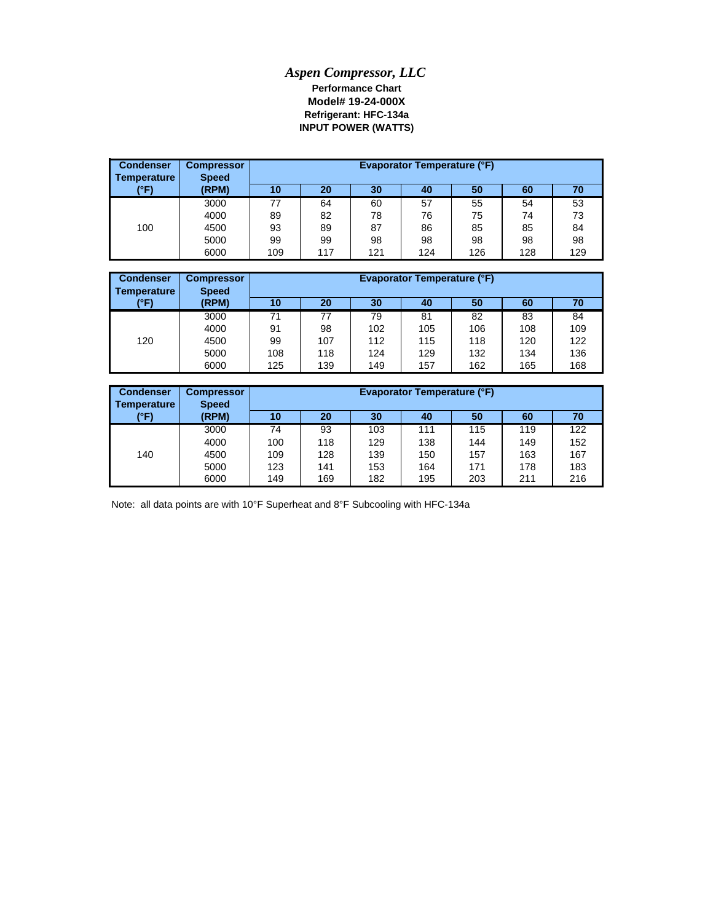## *Aspen Compressor, LLC* **Refrigerant: HFC-134a Model# 19-24-000X Performance Chart INPUT POWER (WATTS)**

| <b>Condenser</b><br><b>Temperature</b> | <b>Compressor</b><br><b>Speed</b> |     | Evaporator Temperature (°F)<br>20<br>30<br>50<br>60<br>10<br>40<br>70<br>57<br>55<br>77<br>64<br>53<br>60<br>54<br>73<br>75<br>82<br>78<br>76<br>89<br>74 |     |     |     |     |     |
|----------------------------------------|-----------------------------------|-----|-----------------------------------------------------------------------------------------------------------------------------------------------------------|-----|-----|-----|-----|-----|
| (°F)                                   | (RPM)                             |     |                                                                                                                                                           |     |     |     |     |     |
|                                        | 3000                              |     |                                                                                                                                                           |     |     |     |     |     |
|                                        | 4000                              |     |                                                                                                                                                           |     |     |     |     |     |
| 100                                    | 4500                              | 93  | 89                                                                                                                                                        | 87  | 86  | 85  | 85  | 84  |
|                                        | 5000                              | 99  | 99                                                                                                                                                        | 98  | 98  | 98  | 98  | 98  |
|                                        | 6000                              | 109 | 117                                                                                                                                                       | 121 | 124 | 126 | 128 | 129 |

| <b>Condenser</b><br>Temperature | <b>Compressor</b><br><b>Speed</b> |     | <b>Evaporator Temperature (°F)</b><br>30<br>20<br>50<br>60<br>10<br>40<br>70 |     |     |     |     |     |  |
|---------------------------------|-----------------------------------|-----|------------------------------------------------------------------------------|-----|-----|-----|-----|-----|--|
| (°F)                            | (RPM)                             |     |                                                                              |     |     |     |     |     |  |
|                                 | 3000                              | 71  | 77                                                                           | 79  | 81  | 82  | 83  | 84  |  |
|                                 | 4000                              | 91  | 98                                                                           | 102 | 105 | 106 | 108 | 109 |  |
| 120                             | 4500                              | 99  | 107                                                                          | 112 | 115 | 118 | 120 | 122 |  |
|                                 | 5000                              | 108 | 118                                                                          | 124 | 129 | 132 | 134 | 136 |  |
|                                 | 6000                              | 125 | 139                                                                          | 149 | 157 | 162 | 165 | 168 |  |

| <b>Condenser</b><br>Temperature | <b>Compressor</b><br><b>Speed</b> |     | Evaporator Temperature (°F)<br>20<br>30<br>50<br>70<br>10<br>60<br>40<br>122<br>111<br>115<br>74<br>119<br>93<br>103<br>152<br>118<br>138<br>149<br>100<br>129<br>144<br>167<br>163<br>128<br>139<br>157<br>109<br>150 |     |     |     |     |     |
|---------------------------------|-----------------------------------|-----|------------------------------------------------------------------------------------------------------------------------------------------------------------------------------------------------------------------------|-----|-----|-----|-----|-----|
| (°F)                            | (RPM)                             |     |                                                                                                                                                                                                                        |     |     |     |     |     |
|                                 | 3000                              |     |                                                                                                                                                                                                                        |     |     |     |     |     |
|                                 | 4000                              |     |                                                                                                                                                                                                                        |     |     |     |     |     |
| 140                             | 4500                              |     |                                                                                                                                                                                                                        |     |     |     |     |     |
|                                 | 5000                              | 123 | 141                                                                                                                                                                                                                    | 153 | 164 | 171 | 178 | 183 |
|                                 | 6000                              | 149 | 169                                                                                                                                                                                                                    | 182 | 195 | 203 | 211 | 216 |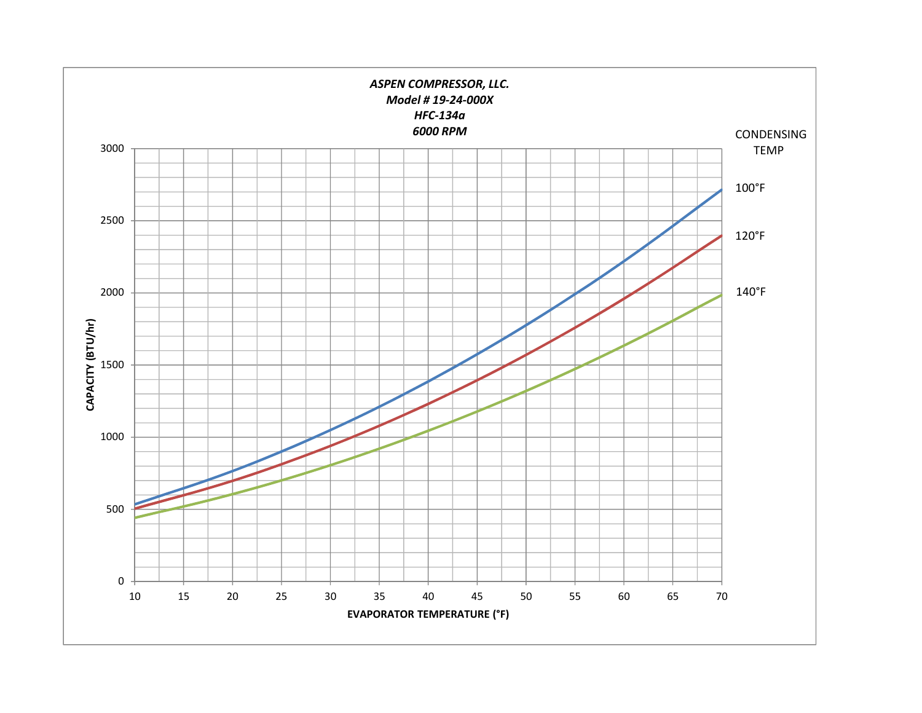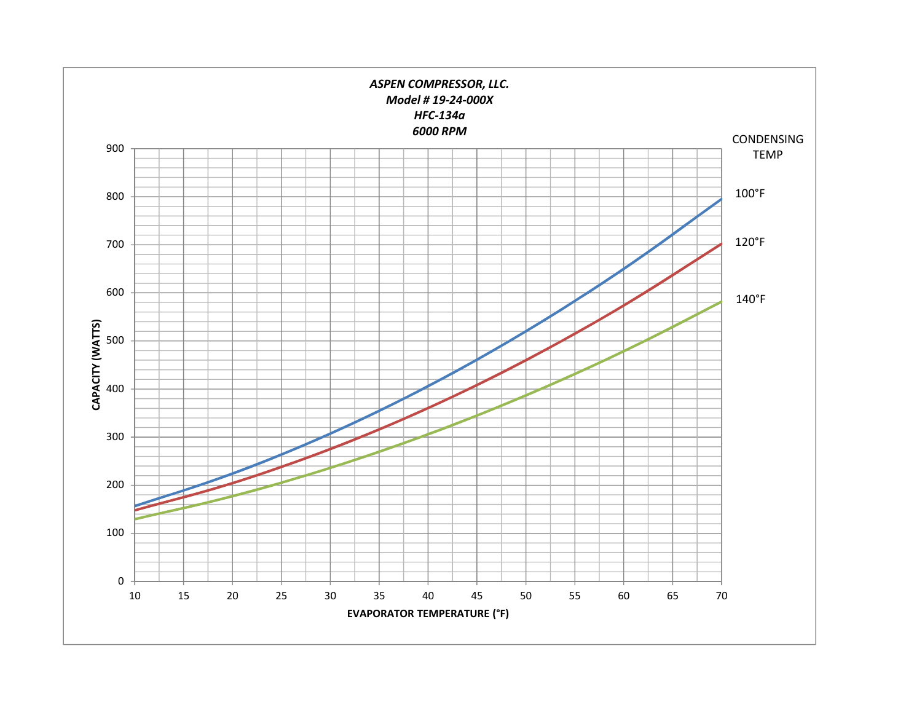